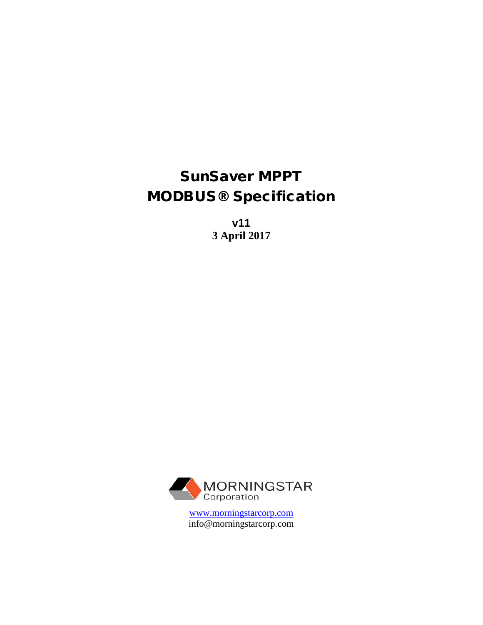# SunSaver MPPT MODBUS® Specification

**v11 3 April 2017**



[www.morningstarcorp.com](http://www.morningstarcorp.com/) info@morningstarcorp.com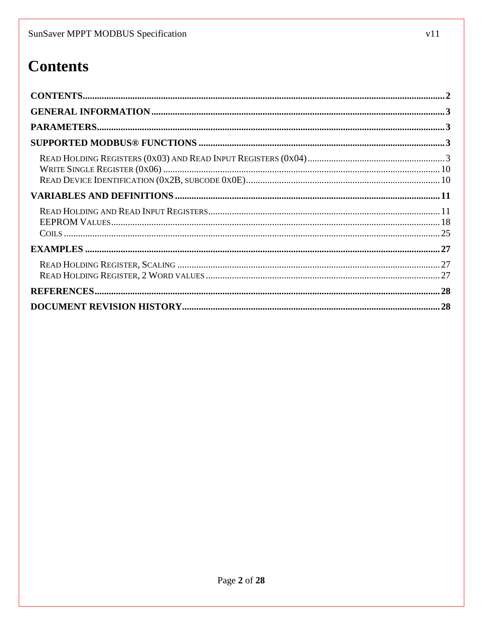# <span id="page-1-0"></span>**Contents**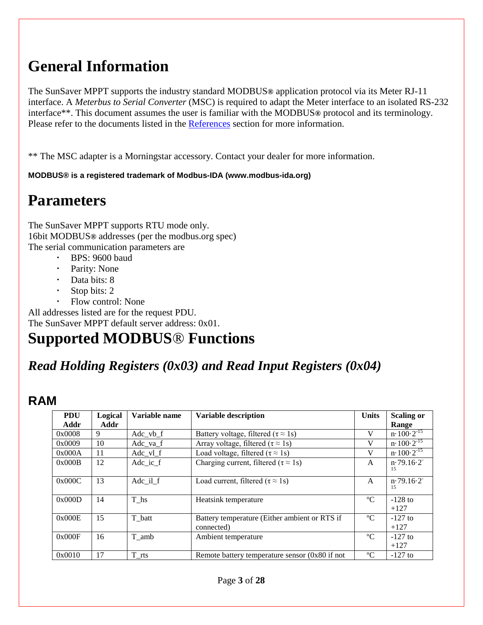# <span id="page-2-0"></span>**General Information**

The SunSaver MPPT supports the industry standard MODBUS**®** application protocol via its Meter RJ-11 interface. A *Meterbus to Serial Converter* (MSC) is required to adapt the Meter interface to an isolated RS-232 interface\*\*. This document assumes the user is familiar with the MODBUS**®** protocol and its terminology. Please refer to the documents listed in the [References](#page-27-0) section for more information.

\*\* The MSC adapter is a Morningstar accessory. Contact your dealer for more information.

#### **MODBUS® is a registered trademark of Modbus-IDA (www.modbus-ida.org)**

# <span id="page-2-1"></span>**Parameters**

The SunSaver MPPT supports RTU mode only. 16bit MODBUS**®** addresses (per the modbus.org spec) The serial communication parameters are

- BPS: 9600 baud
	- Parity: None
	- Data bits: 8
	- Stop bits: 2
	- Flow control: None

All addresses listed are for the request PDU. The SunSaver MPPT default server address: 0x01.

# <span id="page-2-2"></span>**Supported MODBUS**® **Functions**

## <span id="page-2-3"></span>*Read Holding Registers (0x03) and Read Input Registers (0x04)*

### **RAM**

| <b>PDU</b> | Logical | Variable name   | <b>Variable description</b>                                 | <b>Units</b> | <b>Scaling or</b>           |
|------------|---------|-----------------|-------------------------------------------------------------|--------------|-----------------------------|
| Addr       | Addr    |                 |                                                             |              | Range                       |
| 0x0008     | 9       | Adc vb f        | Battery voltage, filtered ( $\tau \approx 1$ s)             | V            | $n \cdot 100 \cdot 2^{-15}$ |
| 0x0009     | 10      | $Adc_{1}va_{f}$ | Array voltage, filtered ( $\tau \approx 1$ s)               | V            | $n \cdot 100 \cdot 2^{-15}$ |
| 0x000A     | 11      | $Adc$ $vl$ $f$  | Load voltage, filtered ( $\tau \approx 1$ s)                | V            | $n \cdot 100 \cdot 2^{-15}$ |
| 0x000B     | 12      | Adc ic f        | Charging current, filtered ( $\tau \approx 1$ s)            | A            | n.79.16.2<br>15             |
| 0x000C     | 13      | Adc il f        | Load current, filtered ( $\tau \approx 1$ s)                | A            | n.79.16.2<br>15             |
| 0x000D     | 14      | T hs            | Heatsink temperature                                        | $^{\circ}C$  | $-128$ to<br>$+127$         |
| 0x000E     | 15      | T batt          | Battery temperature (Either ambient or RTS if<br>connected) | $\rm ^{o}C$  | $-127$ to<br>$+127$         |
| 0x000F     | 16      | T amb           | Ambient temperature                                         | $\rm ^{o}C$  | $-127$ to<br>$+127$         |
| 0x0010     | 17      | T rts           | Remote battery temperature sensor $(0x80$ if not            | $\rm ^{o}C$  | $-127$ to                   |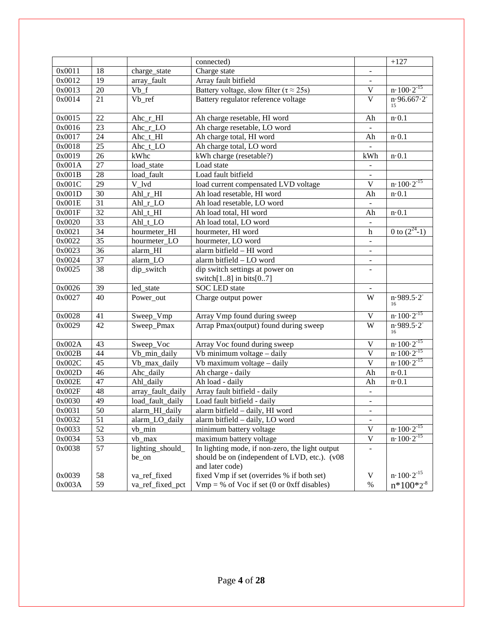|        |                 |                    | connected)                                                      |                              | $+127$                      |
|--------|-----------------|--------------------|-----------------------------------------------------------------|------------------------------|-----------------------------|
| 0x0011 | 18              | charge_state       | Charge state                                                    | $\overline{\phantom{a}}$     |                             |
| 0x0012 | 19              | array_fault        | Array fault bitfield                                            |                              |                             |
| 0x0013 | 20              | $\overline{Vb}$ _f | Battery voltage, slow filter ( $\tau \approx 25s$ )             | $\ensuremath{\mathsf{V}}$    | $n \cdot 100 \cdot 2^{-15}$ |
| 0x0014 | 21              | Vb_ref             | Battery regulator reference voltage                             | $\overline{\mathsf{V}}$      | n.96.667.2<br>15            |
| 0x0015 | 22              | Ahc_r_HI           | Ah charge resetable, HI word                                    | Ah                           | $n \cdot 0.1$               |
| 0x0016 | 23              | Ahc_r_LO           | Ah charge resetable, LO word                                    |                              |                             |
| 0x0017 | 24              | Ahc_t_HI           | Ah charge total, HI word                                        | Ah                           | $n \cdot 0.1$               |
| 0x0018 | $\overline{25}$ | Ahc_t_LO           | Ah charge total, LO word                                        |                              |                             |
| 0x0019 | $\overline{26}$ | kWhc               | kWh charge (resetable?)                                         | kWh                          | $n \cdot 0.1$               |
| 0x001A | $\overline{27}$ | load_state         | Load state                                                      | $\frac{1}{2}$                |                             |
| 0x001B | $\overline{28}$ | load_fault         | Load fault bitfield                                             | -                            |                             |
| 0x001C | $\overline{29}$ | V_lvd              | load current compensated LVD voltage                            | V                            | $n \cdot 100 \cdot 2^{-15}$ |
| 0x001D | $\overline{30}$ | Ahl_r_HI           | Ah load resetable, HI word                                      | Ah                           | $n \cdot 0.1$               |
| 0x001E | $\overline{31}$ | Ahl_r_LO           | Ah load resetable, LO word                                      |                              |                             |
| 0x001F | $\overline{32}$ | $AhL_t_HI$         | Ah load total, HI word                                          | Ah                           | $n \cdot 0.1$               |
| 0x0020 | $\overline{33}$ | Ahl_t_LO           | Ah load total, LO word                                          |                              |                             |
| 0x0021 | $\overline{34}$ | hourmeter_HI       | hourmeter, HI word                                              | $\boldsymbol{\mathrm{h}}$    | 0 to $\sqrt{(2^{24}-1)}$    |
| 0x0022 | $\overline{35}$ | hourmeter_LO       | hourmeter, LO word                                              | $\qquad \qquad \blacksquare$ |                             |
| 0x0023 | $\overline{36}$ | alarm_HI           | alarm bitfield - HI word                                        | $\overline{\phantom{a}}$     |                             |
| 0x0024 | $\overline{37}$ | alarm LO           | alarm bitfield - LO word                                        | $\qquad \qquad \blacksquare$ |                             |
| 0x0025 | 38              | dip_switch         | dip switch settings at power on<br>switch $[18]$ in bits $[07]$ | $\overline{\phantom{a}}$     |                             |
| 0x0026 | 39              | led_state          | <b>SOC LED</b> state                                            |                              |                             |
| 0x0027 | 40              | Power_out          | Charge output power                                             | W                            | n.989.5.2                   |
|        |                 |                    |                                                                 |                              | 16                          |
| 0x0028 | 41              | Sweep_Vmp          | Array Vmp found during sweep                                    | $\mathbf V$                  | $n \cdot 100 \cdot 2^{-15}$ |
| 0x0029 | 42              | Sweep_Pmax         | Arrap Pmax(output) found during sweep                           | W                            | n.989.5.2<br>16             |
| 0x002A | 43              | Sweep_Voc          | Array Voc found during sweep                                    | $\mathbf V$                  | $n \cdot 100 \cdot 2^{-15}$ |
| 0x002B | 44              | Vb_min_daily       | Vb minimum voltage - daily                                      | $\overline{\mathsf{V}}$      | $n \cdot 100 \cdot 2^{-15}$ |
| 0x002C | 45              | Vb_max_daily       | Vb maximum voltage - daily                                      | $\overline{\mathbf{V}}$      | $n \cdot 100 \cdot 2^{-15}$ |
| 0x002D | 46              | Ahc_daily          | Ah charge - daily                                               | Ah                           | $n \cdot 0.1$               |
| 0x002E | 47              | Ahl_daily          | Ah load - daily                                                 | Ah                           | $n \cdot 0.1$               |
| 0x002F | 48              | array_fault_daily  | Array fault bitfield - daily                                    |                              |                             |
| 0x0030 | 49              | load_fault_daily   | Load fault bitfield - daily                                     | -                            |                             |
| 0x0031 | $\overline{50}$ | alarm_HI_daily     | alarm bitfield - daily, HI word                                 | ۰                            |                             |
| 0x0032 | 51              | alarm LO daily     | alarm bitfield - daily, LO word                                 |                              |                             |
| 0x0033 | 52              | $vb_{min}$         | minimum battery voltage                                         | $\ensuremath{\mathsf{V}}$    | $n \cdot 100 \cdot 2^{-15}$ |
| 0x0034 | 53              | vb_max             | maximum battery voltage                                         | $\mathbf V$                  | $n \cdot 100 \cdot 2^{-15}$ |
| 0x0038 | 57              | lighting_should_   | In lighting mode, if non-zero, the light output                 | $\qquad \qquad \blacksquare$ |                             |
|        |                 | be_on              | should be on (independent of LVD, etc.). (v08                   |                              |                             |
|        |                 |                    | and later code)                                                 |                              |                             |
| 0x0039 | 58              | va_ref_fixed       | fixed Vmp if set (overrides % if both set)                      | $\mathbf V$                  | $n \cdot 100 \cdot 2^{-15}$ |
| 0x003A | 59              | va_ref_fixed_pct   | $Vmp = % of Voc$ if set (0 or 0xff disables)                    | $\%$                         | $n*100*2-8$                 |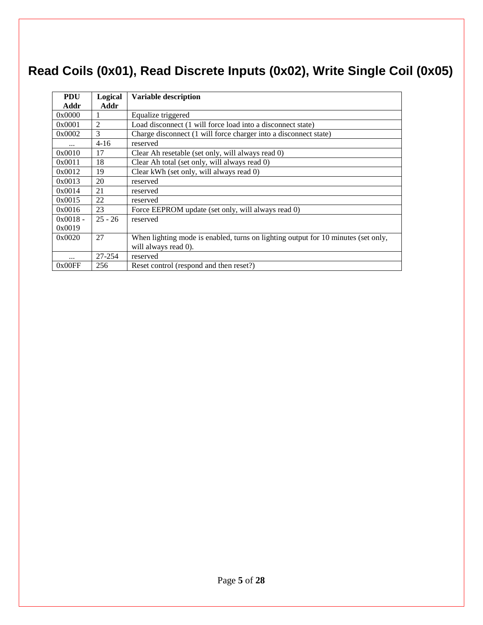# **Read Coils (0x01), Read Discrete Inputs (0x02), Write Single Coil (0x05)**

| <b>PDU</b> | Logical   | <b>Variable description</b>                                                       |
|------------|-----------|-----------------------------------------------------------------------------------|
| Addr       | Addr      |                                                                                   |
| 0x0000     |           | Equalize triggered                                                                |
| 0x0001     | 2         | Load disconnect (1 will force load into a disconnect state)                       |
| 0x0002     | 3         | Charge disconnect (1 will force charger into a disconnect state)                  |
|            | $4 - 16$  | reserved                                                                          |
| 0x0010     | 17        | Clear Ah resetable (set only, will always read 0)                                 |
| 0x0011     | 18        | Clear Ah total (set only, will always read 0)                                     |
| 0x0012     | 19        | Clear kWh (set only, will always read 0)                                          |
| 0x0013     | 20        | reserved                                                                          |
| 0x0014     | 21        | reserved                                                                          |
| 0x0015     | 22        | reserved                                                                          |
| 0x0016     | 23        | Force EEPROM update (set only, will always read 0)                                |
| $0x0018 -$ | $25 - 26$ | reserved                                                                          |
| 0x0019     |           |                                                                                   |
| 0x0020     | 27        | When lighting mode is enabled, turns on lighting output for 10 minutes (set only, |
|            |           | will always read 0).                                                              |
|            | 27-254    | reserved                                                                          |
| 0x00FF     | 256       | Reset control (respond and then reset?)                                           |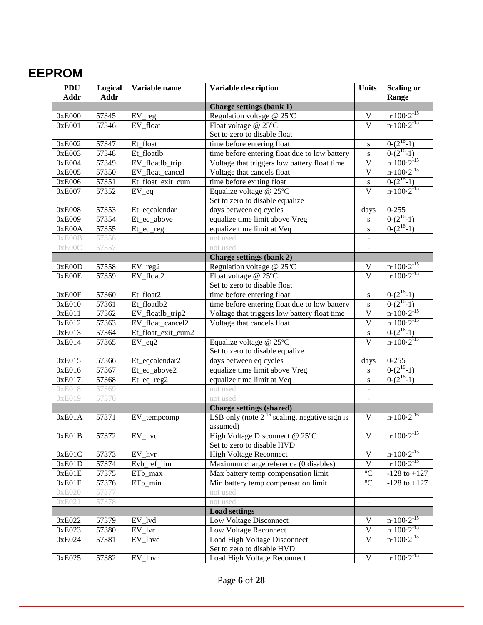# **EEPROM**

| <b>PDU</b><br><b>Addr</b> | Logical<br><b>Addr</b> | Variable name<br><b>Variable description</b> |                                                                | <b>Units</b>             | <b>Scaling or</b><br>Range  |
|---------------------------|------------------------|----------------------------------------------|----------------------------------------------------------------|--------------------------|-----------------------------|
|                           |                        |                                              | <b>Charge settings (bank 1)</b>                                |                          |                             |
| 0xE000                    | 57345                  | $EV_{reg}$                                   | Regulation voltage @ 25°C                                      | $\mathbf V$              | $n \cdot 100 \cdot 2^{-15}$ |
| 0xE001                    | 57346                  | EV_float                                     | Float voltage @ 25°C                                           | $\overline{\mathbf{V}}$  | $n \cdot 100 \cdot 2^{-15}$ |
|                           |                        |                                              | Set to zero to disable float                                   |                          |                             |
| 0xE002                    | 57347                  | Et_float                                     | time before entering float                                     | $\bf S$                  | $0-(2^{16}-1)$              |
| 0xE003                    | 57348                  | Et_floatlb                                   | time before entering float due to low battery                  | ${\bf S}$                | $0-(2^{16}-1)$              |
| 0xE004                    | 57349                  | EV_floatlb_trip                              | Voltage that triggers low battery float time                   | $\mathbf V$              | $n \cdot 100 \cdot 2^{-15}$ |
| 0xE005                    | 57350                  | EV_float_cancel                              | Voltage that cancels float                                     | $\overline{\mathsf{V}}$  | $n \cdot 100 \cdot 2^{-15}$ |
| 0xE006                    | 57351                  | Et_float_exit_cum                            | time before exiting float                                      | ${\bf S}$                | $0-(2^{16}-1)$              |
| 0xE007                    | 57352                  | $EV_{eq}$                                    | Equalize voltage @ 25°C                                        | $\overline{\mathbf{V}}$  | $n \cdot 100 \cdot 2^{-15}$ |
|                           |                        |                                              | Set to zero to disable equalize                                |                          |                             |
| 0xE008                    | 57353                  | Et_eqcalendar                                | days between eq cycles                                         | days                     | $0 - 255$                   |
| 0xE009                    | 57354                  | Et_eq_above                                  | equalize time limit above Vreg                                 | ${\bf S}$                | $0-(2^{16}-1)$              |
| 0xE00A                    | 57355                  | Et_eq_reg                                    | equalize time limit at Veq                                     | ${\bf S}$                | $0-(2^{16}-1)$              |
| 0xE00B                    | 57356                  |                                              | not used                                                       |                          |                             |
| 0xE00C                    | 57357                  |                                              | not used                                                       |                          |                             |
|                           |                        |                                              | <b>Charge settings (bank 2)</b>                                |                          |                             |
| 0xE00D                    | 57558                  | $EV_{reg2}$                                  | Regulation voltage @ 25°C                                      | $\mathbf V$              | $n \cdot 100 \cdot 2^{-15}$ |
| 0xE00E                    | 57359                  | EV_float2                                    | Float voltage @ 25°C                                           | $\overline{V}$           | $n \cdot 100 \cdot 2^{-15}$ |
|                           |                        |                                              | Set to zero to disable float                                   |                          |                             |
| 0xE00F                    | 57360                  | Et_float2                                    | time before entering float                                     | ${\bf S}$                | $0-(2^{16}-1)$              |
| 0xE010                    | 57361                  | Et_floatlb2                                  | time before entering float due to low battery                  | $\bf S$                  | $0-(2^{16}-1)$              |
| 0xE011                    | 57362                  | EV_floatlb_trip2                             | Voltage that triggers low battery float time                   | $\overline{\mathsf{V}}$  | $n \cdot 100 \cdot 2^{-15}$ |
| 0xE012                    | 57363                  | EV_float_cancel2                             | Voltage that cancels float                                     | $\overline{\mathsf{V}}$  | $n \cdot 100 \cdot 2^{-15}$ |
| 0xE013                    | 57364                  | Et_float_exit_cum2                           |                                                                | $\mathbf{s}$             | $0-(2^{16}-1)$              |
| 0xE014                    | 57365                  | $EV_eq2$                                     | Equalize voltage @ 25°C                                        | $\overline{\mathsf{V}}$  | $n \cdot 100 \cdot 2^{-15}$ |
|                           |                        |                                              | Set to zero to disable equalize                                |                          |                             |
| 0xE015                    | 57366                  | Et_eqcalendar2                               | days between eq cycles                                         | days                     | $0 - 255$                   |
| 0xE016                    | 57367                  | Et_eq_above2                                 | equalize time limit above Vreg                                 | ${\bf S}$                | $0-(2^{16}-1)$              |
| 0xE017                    | 57368                  | Et_eq_reg2                                   | equalize time limit at Veq                                     | ${\bf S}$                | $0-(2^{16}-1)$              |
| 0xE018                    | 57369                  |                                              | not used                                                       |                          |                             |
| 0xE019                    | 57370                  |                                              | not used                                                       |                          |                             |
|                           |                        |                                              | <b>Charge settings (shared)</b>                                |                          |                             |
| 0xE01A                    | 57371                  | EV_tempcomp                                  | LSB only (note $2^{-16}$ scaling, negative sign is<br>assumed) | V                        | $n \cdot 100 \cdot 2^{-16}$ |
| 0xE01B                    | 57372                  | EV_hvd                                       | High Voltage Disconnect @ 25°C<br>Set to zero to disable HVD   | $\mathbf V$              | $n \cdot 100 \cdot 2^{-15}$ |
| 0xE01C                    | 57373                  | EV hvr                                       | <b>High Voltage Reconnect</b>                                  | $\overline{\mathbf{V}}$  | $n \cdot 100 \cdot 2^{-15}$ |
| 0xE01D                    | 57374                  | Evb_ref_lim                                  | Maximum charge reference (0 disables)                          | $\overline{\mathbf{V}}$  | $n \cdot 100 \cdot 2^{-15}$ |
| 0xE01E                    | 57375                  | ETb_max                                      | Max battery temp compensation limit                            | $\overline{C}$           | $-128$ to $+127$            |
| 0xE01F                    | 57376                  | ETb_min                                      | Min battery temp compensation limit                            | $\overline{C}$           | $-128$ to $+127$            |
| 0xE020                    | 57377                  |                                              | not used                                                       |                          |                             |
| 0xE021                    | 57378                  |                                              | not used                                                       | $\overline{\phantom{a}}$ |                             |
|                           |                        |                                              | <b>Load settings</b>                                           |                          |                             |
| 0xE022                    | 57379                  | EV_lvd                                       | Low Voltage Disconnect                                         | $\mathbf V$              | $n \cdot 100 \cdot 2^{-15}$ |
| 0xE023                    | 57380                  | $EV_lvr$                                     | Low Voltage Reconnect                                          | $\overline{\mathbf{V}}$  | $n \cdot 100 \cdot 2^{-15}$ |
| 0xE024                    | 57381                  | EV_lhvd                                      | Load High Voltage Disconnect                                   | $\overline{\mathbf{V}}$  | $n \cdot 100 \cdot 2^{-15}$ |
|                           |                        |                                              | Set to zero to disable HVD                                     |                          |                             |
| 0xE025                    | 57382                  | EV_lhvr                                      | Load High Voltage Reconnect                                    | $\mathbf V$              | $n \cdot 100 \cdot 2^{-15}$ |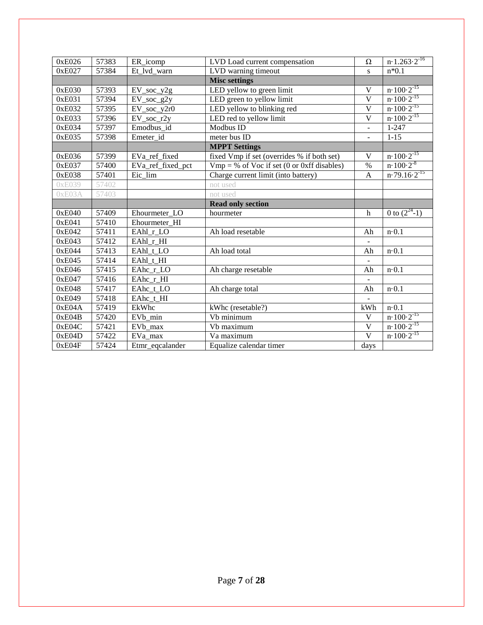| 0xE026 | 57383 | ER_icomp            | LVD Load current compensation                | $\Omega$                 | $n \cdot 1.\overline{263 \cdot 2^{-16}}$                   |
|--------|-------|---------------------|----------------------------------------------|--------------------------|------------------------------------------------------------|
| 0xE027 | 57384 | Et_lvd_warn         | LVD warning timeout                          | S                        | $n*0.1$                                                    |
|        |       |                     | <b>Misc settings</b>                         |                          |                                                            |
| 0xE030 | 57393 | $EV\_soc\_y2g$      | LED yellow to green limit                    | $\mathbf V$              | $n \cdot 100 \cdot 2^{-15}$                                |
| 0xE031 | 57394 | EV_soc_g2y          | LED green to yellow limit                    | $\mathbf V$              | $n \cdot 100 \cdot 2^{-15}$                                |
| 0xE032 | 57395 | $EV\_soc\_y2r0$     | LED yellow to blinking red                   | $\overline{\mathsf{V}}$  | $n \cdot 100 \cdot 2^{-15}$                                |
| 0xE033 | 57396 | EV_soc_r2y          | LED red to yellow limit                      | $\mathbf V$              | $n \cdot 100 \cdot 2^{-15}$                                |
| 0xE034 | 57397 | Emodbus id          | Modbus ID                                    | $\overline{a}$           | $1 - 247$                                                  |
| 0xE035 | 57398 | Emeter id           | meter bus ID                                 | -                        | $1 - 15$                                                   |
|        |       |                     | <b>MPPT Settings</b>                         |                          |                                                            |
| 0xE036 | 57399 | EVa_ref_fixed       | fixed Vmp if set (overrides % if both set)   | $\bar{V}$                | $n \cdot 100 \cdot 2^{-15}$                                |
| 0xE037 | 57400 | EVa ref fixed pct   | $Vmp = % of Voc$ if set (0 or 0xff disables) | $\%$                     | $n \cdot 100 \cdot 2^{-8}$                                 |
| 0xE038 | 57401 | Eic lim             | Charge current limit (into battery)          | $\mathbf{A}$             | $n \cdot 79.16 \cdot 2^{-15}$                              |
| 0xE039 | 57402 |                     | not used                                     |                          |                                                            |
| 0xE03A | 57403 |                     | not used                                     |                          |                                                            |
|        |       |                     | <b>Read only section</b>                     |                          |                                                            |
|        |       |                     |                                              |                          |                                                            |
| 0xE040 | 57409 | Ehourmeter LO       | hourmeter                                    | h                        | 0 to $(2^{24}-1)$                                          |
| 0xE041 | 57410 | Ehourmeter HI       |                                              |                          |                                                            |
| 0xE042 | 57411 | EAhl r LO           | Ah load resetable                            | Ah                       | $n \cdot 0.1$                                              |
| 0xE043 | 57412 | EAhl_r_HI           |                                              |                          |                                                            |
| 0xE044 | 57413 | EAhl_t_LO           | Ah load total                                | Ah                       | $n \cdot 0.1$                                              |
| 0xE045 | 57414 | EAhl t HI           |                                              | -                        |                                                            |
| 0xE046 | 57415 | EAhc_r_LO           | Ah charge resetable                          | Ah                       | $n \cdot 0.1$                                              |
| 0xE047 | 57416 | EAhc_r_HI           |                                              |                          |                                                            |
| 0xE048 | 57417 | EAhc t LO           | Ah charge total                              | Ah                       | $n \cdot 0.1$                                              |
| 0xE049 | 57418 | EAhc_t_HI           |                                              | $\overline{\phantom{0}}$ |                                                            |
| 0xE04A | 57419 | EkWhc               | kWhc (resetable?)                            | kWh                      | $n \cdot 0.1$                                              |
| 0xE04B | 57420 | EV <sub>b</sub> min | Vb minimum                                   | $\mathbf V$              |                                                            |
| 0xE04C | 57421 | EV <sub>b</sub> max | Vb maximum                                   | $\overline{\mathbf{V}}$  | $n \cdot 100 \cdot 2^{-15}$<br>$n \cdot 100 \cdot 2^{-15}$ |
| 0xE04D | 57422 | EVa_max             | Va maximum                                   | $\overline{\mathsf{V}}$  | $n \cdot 100 \cdot 2^{-15}$                                |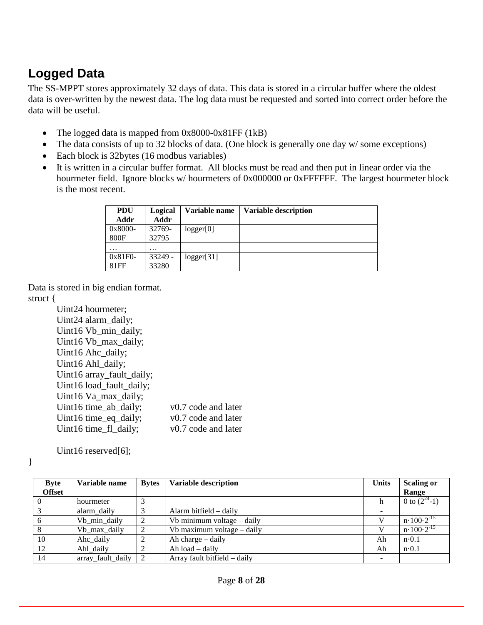### **Logged Data**

The SS-MPPT stores approximately 32 days of data. This data is stored in a circular buffer where the oldest data is over-written by the newest data. The log data must be requested and sorted into correct order before the data will be useful.

- The logged data is mapped from 0x8000-0x81FF (1kB)
- The data consists of up to 32 blocks of data. (One block is generally one day w/some exceptions)
- Each block is 32bytes (16 modbus variables)
- It is written in a circular buffer format. All blocks must be read and then put in linear order via the hourmeter field. Ignore blocks w/ hourmeters of 0x000000 or 0xFFFFFF. The largest hourmeter block is the most recent.

| <b>PDU</b><br>Addr | Logical<br>Addr | Variable name | <b>Variable description</b> |
|--------------------|-----------------|---------------|-----------------------------|
| 0x8000-<br>800F    | 32769-<br>32795 | logger[0]     |                             |
| .                  | $\cdots$        |               |                             |
| 0x81F0-            | 33249 -         | logger[31]    |                             |
| 81FF               | 33280           |               |                             |

Data is stored in big endian format. struct {

> Uint24 hourmeter; Uint24 alarm\_daily; Uint16 Vb\_min\_daily; Uint16 Vb\_max\_daily; Uint16 Ahc\_daily; Uint16 Ahl\_daily; Uint16 array\_fault\_daily; Uint16 load\_fault\_daily; Uint16 Va\_max\_daily; Uint16 time\_ab\_daily; v0.7 code and later Uint16 time\_eq\_daily; v0.7 code and later Uint16 time\_fl\_daily; v0.7 code and later

Uint16 reserved[6];

}

| <b>Byte</b>   | Variable name     | <b>Bytes</b> | <b>Variable description</b>  | <b>Units</b> | <b>Scaling or</b>           |
|---------------|-------------------|--------------|------------------------------|--------------|-----------------------------|
| <b>Offset</b> |                   |              |                              |              | Range                       |
| $\theta$      | hourmeter         |              |                              | n            | 0 to $(2^{24}-1)$           |
|               | alarm daily       |              | Alarm bitfield $-$ daily     |              |                             |
| 6             | Vb min daily      |              | Vb minimum voltage – daily   |              | $n \cdot 100 \cdot 2^{-15}$ |
| 8             | Vb_max_daily      |              | Vb maximum voltage – daily   |              | $n \cdot 100 \cdot 2^{-15}$ |
| 10            | Ahc_daily         |              | Ah charge – daily            | Ah           | $n \cdot 0.1$               |
| 12            | Ahl daily         |              | Ah $load - daily$            | Ah           | $n \cdot 0.1$               |
| 14            | array_fault_daily | $\sqrt{2}$   | Array fault bitfield - daily |              |                             |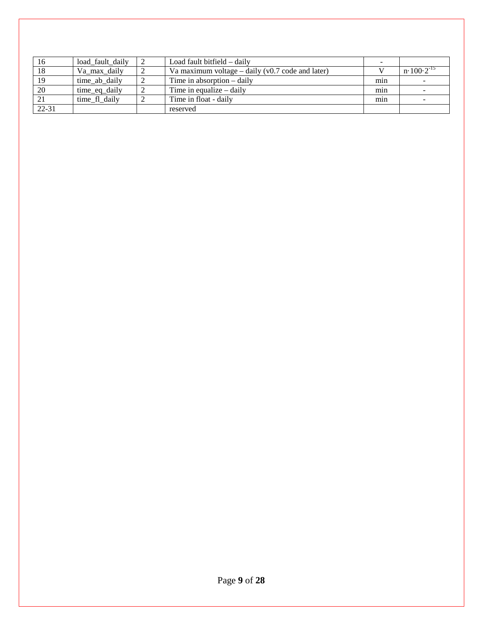| 16        | load_fault_daily | Load fault bitfield – daily                         |     |                           |
|-----------|------------------|-----------------------------------------------------|-----|---------------------------|
| 18        | Va_max_daily     | Va maximum voltage – daily ( $v0.7$ code and later) |     | $n \cdot 100 \cdot 2^{-}$ |
| 19        | time_ab_daily    | Time in absorption $-$ daily                        | min |                           |
| 20        | time_eq_daily    | Time in equalize $-$ daily                          | min |                           |
|           | time fl daily    | Time in float - daily                               | min |                           |
| $22 - 31$ |                  | reserved                                            |     |                           |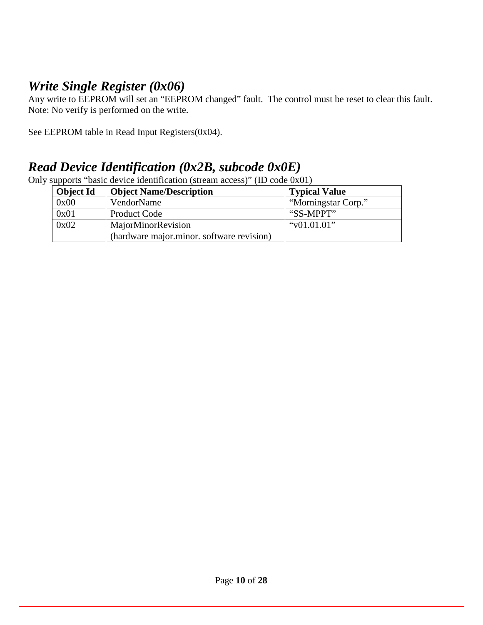### <span id="page-9-0"></span>*Write Single Register (0x06)*

Any write to EEPROM will set an "EEPROM changed" fault. The control must be reset to clear this fault. Note: No verify is performed on the write.

See EEPROM table in Read Input Registers(0x04).

### <span id="page-9-1"></span>*Read Device Identification (0x2B, subcode 0x0E)*

Only supports "basic device identification (stream access)" (ID code 0x01)

| Object Id | <b>Object Name/Description</b>            | <b>Typical Value</b> |
|-----------|-------------------------------------------|----------------------|
| 0x00      | VendorName                                | "Morningstar Corp."  |
| 0x01      | <b>Product Code</b>                       | "SS-MPPT"            |
| 0x02      | MajorMinorRevision                        | " $v01.01.01$ "      |
|           | (hardware major.minor. software revision) |                      |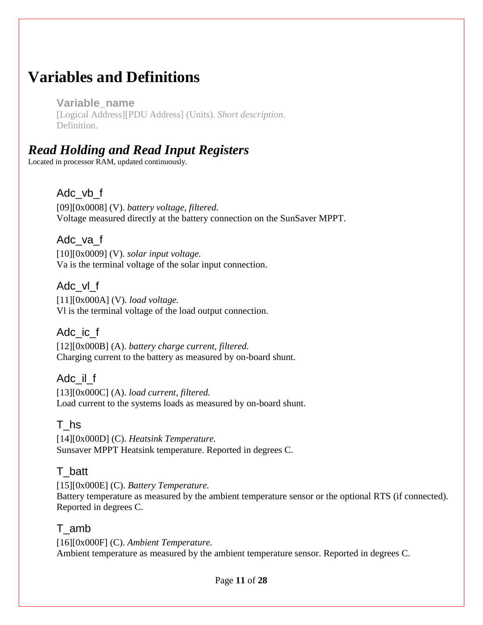# <span id="page-10-0"></span>**Variables and Definitions**

**Variable\_name**  [Logical Address][PDU Address] (Units). *Short description*. Definition.

### <span id="page-10-1"></span>*Read Holding and Read Input Registers*

Located in processor RAM, updated continuously.

#### Adc\_vb\_f

[09][0x0008] (V). *battery voltage, filtered.* Voltage measured directly at the battery connection on the SunSaver MPPT.

Adc\_va\_f

[10][0x0009] (V). *solar input voltage.* Va is the terminal voltage of the solar input connection.

#### Adc\_vl\_f

[11][0x000A] (V). *load voltage.* Vl is the terminal voltage of the load output connection.

Adc\_ic\_f

[12][0x000B] (A). *battery charge current, filtered.*  Charging current to the battery as measured by on-board shunt.

Adc\_il\_f

[13][0x000C] (A). *load current, filtered.*  Load current to the systems loads as measured by on-board shunt.

### T\_hs

[14][0x000D] (C). *Heatsink Temperature.*  Sunsaver MPPT Heatsink temperature. Reported in degrees C.

### T\_batt

[15][0x000E] (C). *Battery Temperature.*  Battery temperature as measured by the ambient temperature sensor or the optional RTS (if connected). Reported in degrees C.

### T\_amb

[16][0x000F] (C). *Ambient Temperature.*  Ambient temperature as measured by the ambient temperature sensor. Reported in degrees C.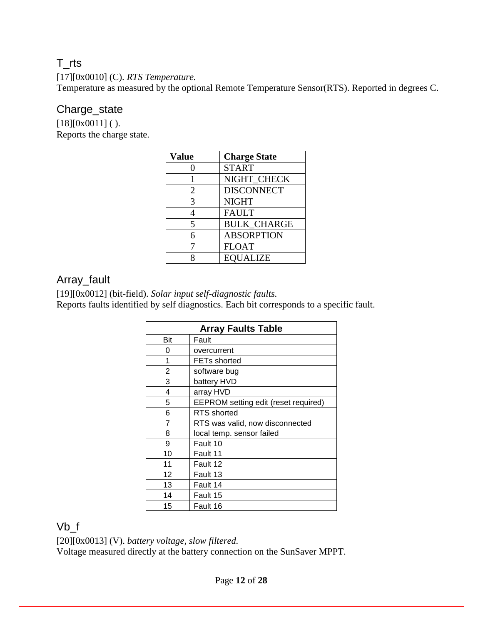### T\_rts

[17][0x0010] (C). *RTS Temperature.* 

Temperature as measured by the optional Remote Temperature Sensor(RTS). Reported in degrees C.

#### Charge\_state

 $[18][0x0011]$  ( ). Reports the charge state.

| <b>Value</b> | <b>Charge State</b> |
|--------------|---------------------|
| 0            | <b>START</b>        |
|              | NIGHT CHECK         |
| 2            | <b>DISCONNECT</b>   |
| 3            | <b>NIGHT</b>        |
| 4            | <b>FAULT</b>        |
| 5            | <b>BULK CHARGE</b>  |
| 6            | <b>ABSORPTION</b>   |
| 7            | <b>FLOAT</b>        |
| 8            | <b>EQUALIZE</b>     |

#### Array\_fault

[19][0x0012] (bit-field). *Solar input self-diagnostic faults.*  Reports faults identified by self diagnostics. Each bit corresponds to a specific fault.

| <b>Array Faults Table</b> |                                      |  |  |  |
|---------------------------|--------------------------------------|--|--|--|
| Bit                       | Fault                                |  |  |  |
| 0                         | overcurrent                          |  |  |  |
| 1                         | <b>FETs shorted</b>                  |  |  |  |
| 2                         | software bug                         |  |  |  |
| 3                         | battery HVD                          |  |  |  |
| 4                         | array HVD                            |  |  |  |
| 5                         | EEPROM setting edit (reset required) |  |  |  |
| 6                         | RTS shorted                          |  |  |  |
| 7                         | RTS was valid, now disconnected      |  |  |  |
| 8                         | local temp. sensor failed            |  |  |  |
| 9                         | Fault 10                             |  |  |  |
| 10                        | Fault 11                             |  |  |  |
| 11                        | Fault 12                             |  |  |  |
| 12                        | Fault 13                             |  |  |  |
| 13                        | Fault 14                             |  |  |  |
| 14                        | Fault 15                             |  |  |  |
| 15                        | Fault 16                             |  |  |  |

Vb\_f

[20][0x0013] (V). *battery voltage, slow filtered.*

Voltage measured directly at the battery connection on the SunSaver MPPT.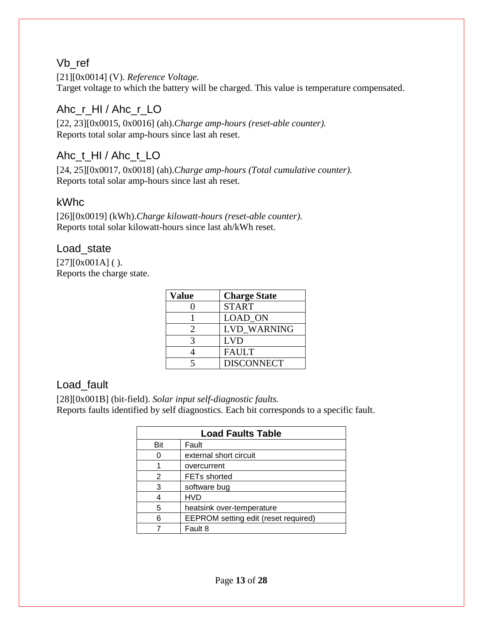#### Vb\_ref

[21][0x0014] (V). *Reference Voltage*. Target voltage to which the battery will be charged. This value is temperature compensated.

#### Ahc\_r\_HI / Ahc\_r\_LO

[22, 23][0x0015, 0x0016] (ah).*Charge amp-hours (reset-able counter).*  Reports total solar amp-hours since last ah reset.

#### Ahc\_t\_HI / Ahc\_t\_LO

[24, 25][0x0017, 0x0018] (ah).*Charge amp-hours (Total cumulative counter).*  Reports total solar amp-hours since last ah reset.

#### kWhc

[26][0x0019] (kWh).*Charge kilowatt-hours (reset-able counter).*  Reports total solar kilowatt-hours since last ah/kWh reset.

#### Load\_state

 $[27][0x001A]$  ( ). Reports the charge state.

| <b>Value</b> | <b>Charge State</b> |
|--------------|---------------------|
|              | <b>START</b>        |
|              | LOAD_ON             |
| 2            | <b>LVD WARNING</b>  |
| 3            | <b>LVD</b>          |
|              | <b>FAULT</b>        |
| 5            | <b>DISCONNECT</b>   |

#### Load\_fault

[28][0x001B] (bit-field). *Solar input self-diagnostic faults.*  Reports faults identified by self diagnostics. Each bit corresponds to a specific fault.

| <b>Load Faults Table</b> |                                      |  |
|--------------------------|--------------------------------------|--|
| Bit                      | Fault                                |  |
|                          | external short circuit               |  |
|                          | overcurrent                          |  |
| 2                        | <b>FETs shorted</b>                  |  |
| 3                        | software bug                         |  |
|                          | <b>HVD</b>                           |  |
| 5                        | heatsink over-temperature            |  |
| 6                        | EEPROM setting edit (reset required) |  |
|                          | Fault 8                              |  |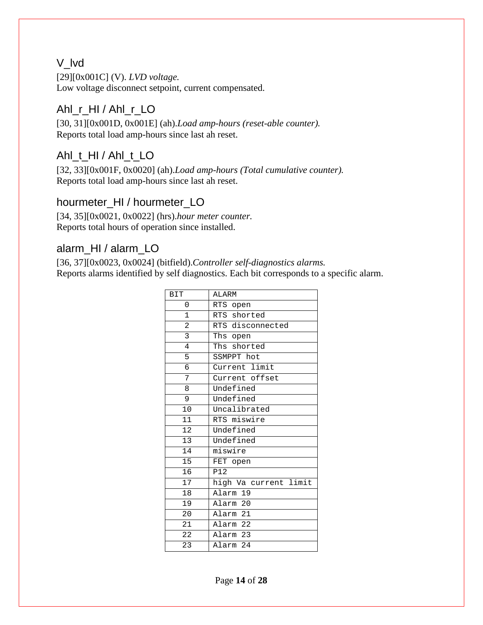#### V\_lvd

[29][0x001C] (V). *LVD voltage.*  Low voltage disconnect setpoint, current compensated.

#### Ahl\_r\_HI / Ahl\_r\_LO

[30, 31][0x001D, 0x001E] (ah).*Load amp-hours (reset-able counter).*  Reports total load amp-hours since last ah reset.

#### Ahl\_t\_HI / Ahl\_t\_LO

[32, 33][0x001F, 0x0020] (ah).*Load amp-hours (Total cumulative counter).*  Reports total load amp-hours since last ah reset.

#### hourmeter\_HI / hourmeter\_LO

[34, 35][0x0021, 0x0022] (hrs).*hour meter counter.*  Reports total hours of operation since installed.

#### alarm\_HI / alarm\_LO

[36, 37][0x0023, 0x0024] (bitfield).*Controller self-diagnostics alarms.*  Reports alarms identified by self diagnostics. Each bit corresponds to a specific alarm.

| <b>BIT</b>      | ALARM                 |
|-----------------|-----------------------|
| 0               | RTS open              |
| $\mathbf{1}$    | RTS shorted           |
| 2               | RTS disconnected      |
| $\overline{3}$  | Ths open              |
| $\overline{4}$  | Ths shorted           |
| 5               | SSMPPT hot            |
| 6               | Current limit         |
| 7               | Current offset        |
| 8               | Undefined             |
| 9               | Undefined             |
| 10              | Uncalibrated          |
| $\overline{11}$ | RTS miswire           |
| $\overline{12}$ | Undefined             |
| 13              | Undefined             |
| $\overline{14}$ | miswire               |
| 15              | FET open              |
| 16              | <b>P12</b>            |
| $\overline{17}$ | high Va current limit |
| 18              | Alarm 19              |
| 19              | Alarm 20              |
| 20              | Alarm 21              |
| 21              | Alarm 22              |
| 22              | Alarm 23              |
| 23              | Alarm <sub>24</sub>   |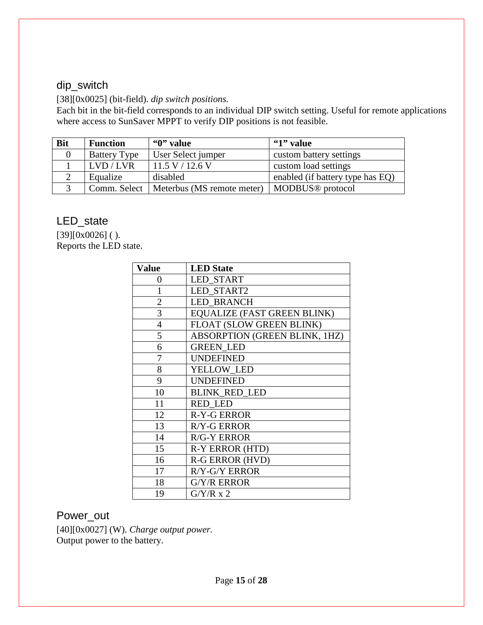### dip\_switch

[38][0x0025] (bit-field). *dip switch positions.* 

Each bit in the bit-field corresponds to an individual DIP switch setting. Useful for remote applications where access to SunSaver MPPT to verify DIP positions is not feasible.

| <b>Bit</b> | <b>Function</b>     | "0" value                                 | "1" value                        |
|------------|---------------------|-------------------------------------------|----------------------------------|
|            | <b>Battery Type</b> | User Select jumper                        | custom battery settings          |
|            | LVD/LVR             | 11.5 V / 12.6 V                           | custom load settings             |
|            | Equalize            | disabled                                  | enabled (if battery type has EQ) |
|            |                     | Comm. Select   Meterbus (MS remote meter) | MODBUS <sup>®</sup> protocol     |

#### LED\_state

 $[39][0x0026]$  ( ). Reports the LED state.

| Value          | <b>LED</b> State                   |
|----------------|------------------------------------|
| $\theta$       | <b>LED START</b>                   |
| 1              | <b>LED START2</b>                  |
| $\overline{2}$ | <b>LED BRANCH</b>                  |
| 3              | <b>EQUALIZE (FAST GREEN BLINK)</b> |
| $\overline{4}$ | FLOAT (SLOW GREEN BLINK)           |
| 5              | ABSORPTION (GREEN BLINK, 1HZ)      |
| 6              | <b>GREEN LED</b>                   |
| 7              | <b>UNDEFINED</b>                   |
| 8              | YELLOW LED                         |
| 9              | <b>UNDEFINED</b>                   |
| 10             | <b>BLINK RED LED</b>               |
| 11             | <b>RED LED</b>                     |
| 12             | <b>R-Y-G ERROR</b>                 |
| 13             | <b>R/Y-G ERROR</b>                 |
| 14             | <b>R/G-Y ERROR</b>                 |
| 15             | R-Y ERROR (HTD)                    |
| 16             | R-G ERROR (HVD)                    |
| 17             | R/Y-G/Y ERROR                      |
| 18             | <b>G/Y/R ERROR</b>                 |
| 19             | $G/Y/R \ge 2$                      |

#### Power\_out

[40][0x0027] (W). *Charge output power.*  Output power to the battery.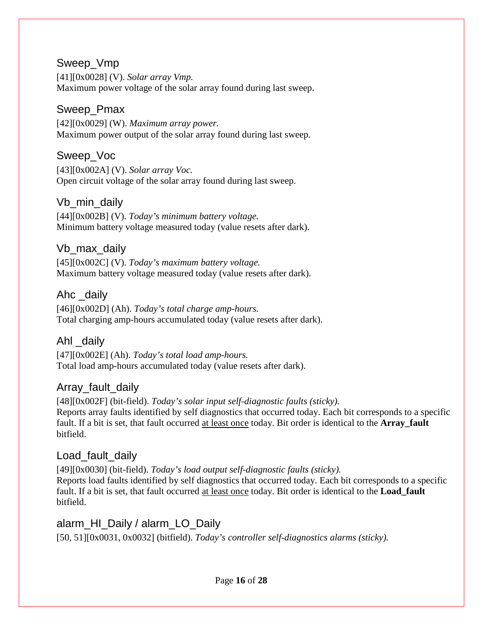#### Sweep\_Vmp

[41][0x0028] (V). *Solar array Vmp.*  Maximum power voltage of the solar array found during last sweep.

#### Sweep\_Pmax

[42][0x0029] (W). *Maximum array power.*  Maximum power output of the solar array found during last sweep.

#### Sweep\_Voc

[43][0x002A] (V). *Solar array Voc.*  Open circuit voltage of the solar array found during last sweep.

#### Vb\_min\_daily

[44][0x002B] (V). *Today's minimum battery voltage.*  Minimum battery voltage measured today (value resets after dark).

#### Vb\_max\_daily

[45][0x002C] (V). *Today's maximum battery voltage.*  Maximum battery voltage measured today (value resets after dark).

#### Ahc \_daily

[46][0x002D] (Ah). *Today's total charge amp-hours.*  Total charging amp-hours accumulated today (value resets after dark).

#### Ahl \_daily

[47][0x002E] (Ah). *Today's total load amp-hours.*  Total load amp-hours accumulated today (value resets after dark).

#### Array fault daily

[48][0x002F] (bit-field). *Today's solar input self-diagnostic faults (sticky).*  Reports array faults identified by self diagnostics that occurred today. Each bit corresponds to a specific fault. If a bit is set, that fault occurred at least once today. Bit order is identical to the **Array fault** bitfield.

#### Load fault daily

[49][0x0030] (bit-field). *Today's load output self-diagnostic faults (sticky).*  Reports load faults identified by self diagnostics that occurred today. Each bit corresponds to a specific fault. If a bit is set, that fault occurred at least once today. Bit order is identical to the **Load\_fault** bitfield.

#### alarm\_HI\_Daily / alarm\_LO\_Daily

[50, 51][0x0031, 0x0032] (bitfield). *Today's controller self-diagnostics alarms (sticky).*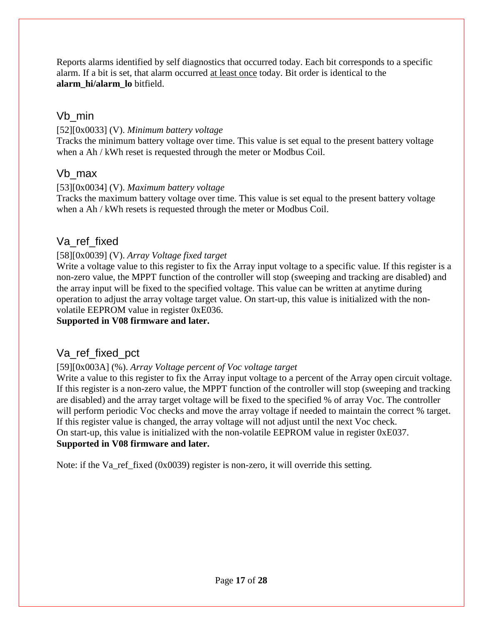Reports alarms identified by self diagnostics that occurred today. Each bit corresponds to a specific alarm. If a bit is set, that alarm occurred at least once today. Bit order is identical to the **alarm\_hi/alarm\_lo** bitfield.

#### Vb\_min

#### [52][0x0033] (V). *Minimum battery voltage*

Tracks the minimum battery voltage over time. This value is set equal to the present battery voltage when a Ah / kWh reset is requested through the meter or Modbus Coil.

#### Vb\_max

#### [53][0x0034] (V). *Maximum battery voltage*

Tracks the maximum battery voltage over time. This value is set equal to the present battery voltage when a Ah / kWh resets is requested through the meter or Modbus Coil.

#### Va\_ref\_fixed

#### [58][0x0039] (V). *Array Voltage fixed target*

Write a voltage value to this register to fix the Array input voltage to a specific value. If this register is a non-zero value, the MPPT function of the controller will stop (sweeping and tracking are disabled) and the array input will be fixed to the specified voltage. This value can be written at anytime during operation to adjust the array voltage target value. On start-up, this value is initialized with the nonvolatile EEPROM value in register 0xE036.

#### **Supported in V08 firmware and later.**

### Va\_ref\_fixed\_pct

#### [59][0x003A] (%). *Array Voltage percent of Voc voltage target*

Write a value to this register to fix the Array input voltage to a percent of the Array open circuit voltage. If this register is a non-zero value, the MPPT function of the controller will stop (sweeping and tracking are disabled) and the array target voltage will be fixed to the specified % of array Voc. The controller will perform periodic Voc checks and move the array voltage if needed to maintain the correct % target. If this register value is changed, the array voltage will not adjust until the next Voc check. On start-up, this value is initialized with the non-volatile EEPROM value in register 0xE037. **Supported in V08 firmware and later.**

Note: if the Va ref fixed  $(0x0039)$  register is non-zero, it will override this setting.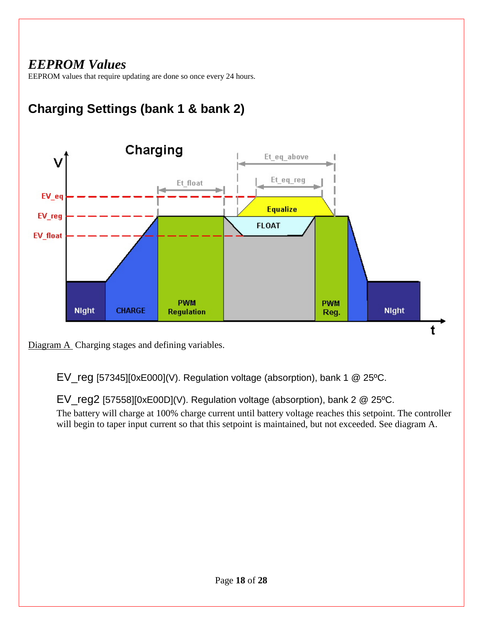### <span id="page-17-0"></span>*EEPROM Values*

EEPROM values that require updating are done so once every 24 hours.

# **Charging Settings (bank 1 & bank 2)**



Diagram A Charging stages and defining variables.

EV\_reg [57345][0xE000](V). Regulation voltage (absorption), bank 1 @ 25ºC.

EV\_reg2 [57558][0xE00D](V). Regulation voltage (absorption), bank 2 @ 25ºC. The battery will charge at 100% charge current until battery voltage reaches this setpoint. The controller will begin to taper input current so that this setpoint is maintained, but not exceeded. See diagram A.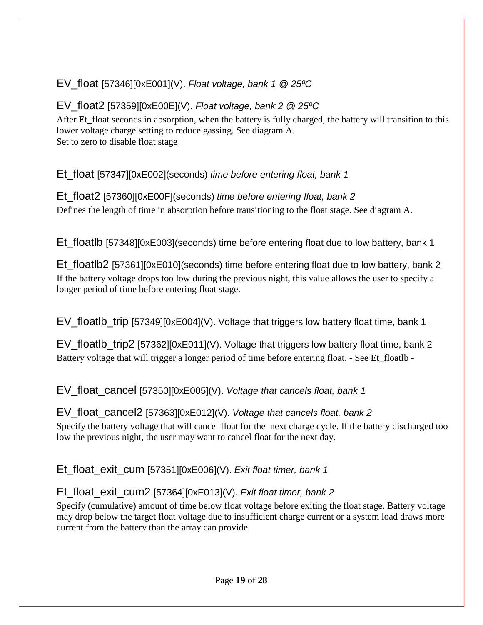### EV\_float [57346][0xE001](V). *Float voltage, bank 1 @ 25ºC*

#### EV\_float2 [57359][0xE00E](V). *Float voltage, bank 2 @ 25ºC*

After Et\_float seconds in absorption, when the battery is fully charged, the battery will transition to this lower voltage charge setting to reduce gassing. See diagram A. Set to zero to disable float stage

Et\_float [57347][0xE002](seconds) *time before entering float, bank 1*

Et\_float2 [57360][0xE00F](seconds) *time before entering float, bank 2* Defines the length of time in absorption before transitioning to the float stage. See diagram A.

Et\_floatlb [57348][0xE003](seconds) time before entering float due to low battery, bank 1

Et floatlb2 [57361][0xE010](seconds) time before entering float due to low battery, bank 2 If the battery voltage drops too low during the previous night, this value allows the user to specify a longer period of time before entering float stage.

EV floatlb trip  $[57349][0xE004](V)$ . Voltage that triggers low battery float time, bank 1

EV\_floatlb\_trip2 [57362][0xE011](V). Voltage that triggers low battery float time, bank 2 Battery voltage that will trigger a longer period of time before entering float. - See Et floatlb -

EV\_float\_cancel [57350][0xE005](V). *Voltage that cancels float, bank 1*

EV\_float\_cancel2 [57363][0xE012](V). *Voltage that cancels float, bank 2* Specify the battery voltage that will cancel float for the next charge cycle. If the battery discharged too low the previous night, the user may want to cancel float for the next day.

Et\_float\_exit\_cum [57351][0xE006](V). *Exit float timer, bank 1*

### Et\_float\_exit\_cum2 [57364][0xE013](V). *Exit float timer, bank 2*

Specify (cumulative) amount of time below float voltage before exiting the float stage. Battery voltage may drop below the target float voltage due to insufficient charge current or a system load draws more current from the battery than the array can provide.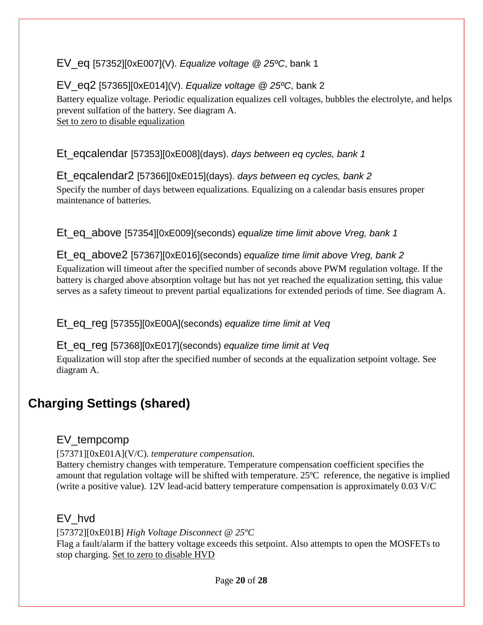#### EV\_eq [57352][0xE007](V). *Equalize voltage @ 25ºC*, bank 1

#### EV\_eq2 [57365][0xE014](V). *Equalize voltage @ 25ºC*, bank 2

Battery equalize voltage. Periodic equalization equalizes cell voltages, bubbles the electrolyte, and helps prevent sulfation of the battery. See diagram A. Set to zero to disable equalization

Et\_eqcalendar [57353][0xE008](days). *days between eq cycles, bank 1*

Et\_eqcalendar2 [57366][0xE015](days). *days between eq cycles, bank 2*

Specify the number of days between equalizations. Equalizing on a calendar basis ensures proper maintenance of batteries.

Et\_eq\_above [57354][0xE009](seconds) *equalize time limit above Vreg, bank 1*

#### Et\_eq\_above2 [57367][0xE016](seconds) *equalize time limit above Vreg, bank 2*

Equalization will timeout after the specified number of seconds above PWM regulation voltage. If the battery is charged above absorption voltage but has not yet reached the equalization setting, this value serves as a safety timeout to prevent partial equalizations for extended periods of time. See diagram A.

Et\_eq\_reg [57355][0xE00A](seconds) *equalize time limit at Veq*

#### Et\_eq\_reg [57368][0xE017](seconds) *equalize time limit at Veq*

Equalization will stop after the specified number of seconds at the equalization setpoint voltage. See diagram A.

### **Charging Settings (shared)**

#### EV\_tempcomp

[57371][0xE01A](V/C). *temperature compensation.*

Battery chemistry changes with temperature. Temperature compensation coefficient specifies the amount that regulation voltage will be shifted with temperature. 25ºC reference, the negative is implied (write a positive value). 12V lead-acid battery temperature compensation is approximately 0.03 V/C

#### EV\_hvd

[57372][0xE01B] *High Voltage Disconnect @ 25ºC* Flag a fault/alarm if the battery voltage exceeds this setpoint. Also attempts to open the MOSFETs to stop charging. Set to zero to disable HVD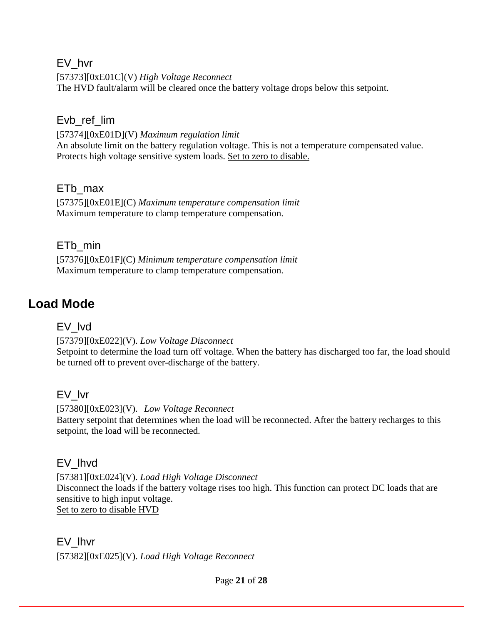#### EV\_hvr

[57373][0xE01C](V) *High Voltage Reconnect* The HVD fault/alarm will be cleared once the battery voltage drops below this setpoint.

#### Evb\_ref\_lim

[57374][0xE01D](V) *Maximum regulation limit* An absolute limit on the battery regulation voltage. This is not a temperature compensated value. Protects high voltage sensitive system loads. Set to zero to disable.

#### ETb\_max

[57375][0xE01E](C) *Maximum temperature compensation limit* Maximum temperature to clamp temperature compensation.

#### ET<sub>b</sub> min

[57376][0xE01F](C) *Minimum temperature compensation limit* Maximum temperature to clamp temperature compensation.

### **Load Mode**

#### EV\_lvd

[57379][0xE022](V). *Low Voltage Disconnect* Setpoint to determine the load turn off voltage. When the battery has discharged too far, the load should be turned off to prevent over-discharge of the battery.

#### EV\_lvr

[57380][0xE023](V). *Low Voltage Reconnect* Battery setpoint that determines when the load will be reconnected. After the battery recharges to this setpoint, the load will be reconnected.

#### EV\_lhvd

[57381][0xE024](V). *Load High Voltage Disconnect*  Disconnect the loads if the battery voltage rises too high. This function can protect DC loads that are sensitive to high input voltage. Set to zero to disable HVD

#### EV\_lhvr [57382][0xE025](V). *Load High Voltage Reconnect*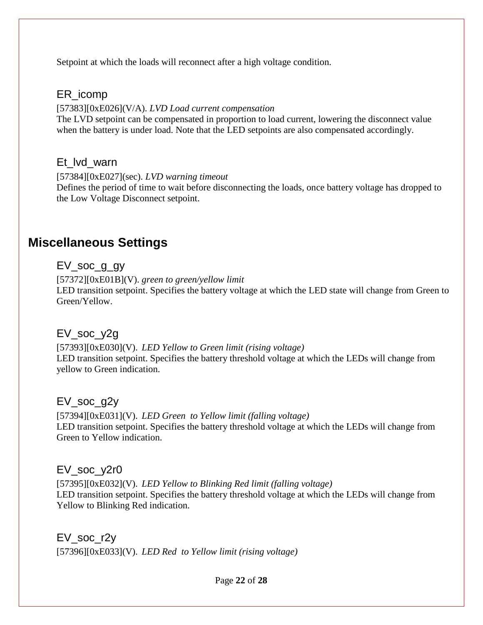Setpoint at which the loads will reconnect after a high voltage condition.

#### ER\_icomp

#### [57383][0xE026](V/A). *LVD Load current compensation*

The LVD setpoint can be compensated in proportion to load current, lowering the disconnect value when the battery is under load. Note that the LED setpoints are also compensated accordingly.

#### Et lvd warn

[57384][0xE027](sec). *LVD warning timeout* Defines the period of time to wait before disconnecting the loads, once battery voltage has dropped to the Low Voltage Disconnect setpoint.

### **Miscellaneous Settings**

EV\_soc\_g\_gy

[57372][0xE01B](V). *green to green/yellow limit* LED transition setpoint. Specifies the battery voltage at which the LED state will change from Green to Green/Yellow.

#### EV\_soc\_y2g

[57393][0xE030](V). *LED Yellow to Green limit (rising voltage)* LED transition setpoint. Specifies the battery threshold voltage at which the LEDs will change from yellow to Green indication.

#### EV\_soc\_g2y

[57394][0xE031](V). *LED Green to Yellow limit (falling voltage)* LED transition setpoint. Specifies the battery threshold voltage at which the LEDs will change from Green to Yellow indication.

#### EV\_soc\_y2r0

[57395][0xE032](V). *LED Yellow to Blinking Red limit (falling voltage)* LED transition setpoint. Specifies the battery threshold voltage at which the LEDs will change from Yellow to Blinking Red indication.

EV soc r2y

[57396][0xE033](V). *LED Red to Yellow limit (rising voltage)*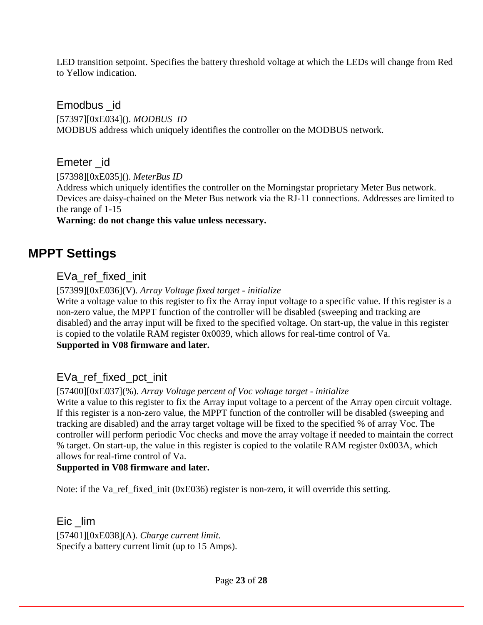LED transition setpoint. Specifies the battery threshold voltage at which the LEDs will change from Red to Yellow indication.

#### Emodbus \_id

[57397][0xE034](). *MODBUS ID* MODBUS address which uniquely identifies the controller on the MODBUS network.

#### Emeter id

[57398][0xE035](). *MeterBus ID*

Address which uniquely identifies the controller on the Morningstar proprietary Meter Bus network. Devices are daisy-chained on the Meter Bus network via the RJ-11 connections. Addresses are limited to the range of 1-15

#### **Warning: do not change this value unless necessary.**

### **MPPT Settings**

#### EVa\_ref\_fixed\_init

[57399][0xE036](V). *Array Voltage fixed target - initialize*

Write a voltage value to this register to fix the Array input voltage to a specific value. If this register is a non-zero value, the MPPT function of the controller will be disabled (sweeping and tracking are disabled) and the array input will be fixed to the specified voltage. On start-up, the value in this register is copied to the volatile RAM register 0x0039, which allows for real-time control of Va. **Supported in V08 firmware and later.**

#### EVa\_ref\_fixed\_pct\_init

#### [57400][0xE037](%). *Array Voltage percent of Voc voltage target - initialize*

Write a value to this register to fix the Array input voltage to a percent of the Array open circuit voltage. If this register is a non-zero value, the MPPT function of the controller will be disabled (sweeping and tracking are disabled) and the array target voltage will be fixed to the specified % of array Voc. The controller will perform periodic Voc checks and move the array voltage if needed to maintain the correct % target. On start-up, the value in this register is copied to the volatile RAM register 0x003A, which allows for real-time control of Va.

#### **Supported in V08 firmware and later.**

Note: if the Va\_ref\_fixed\_init (0xE036) register is non-zero, it will override this setting.

Eic lim

[57401][0xE038](A). *Charge current limit.* Specify a battery current limit (up to 15 Amps).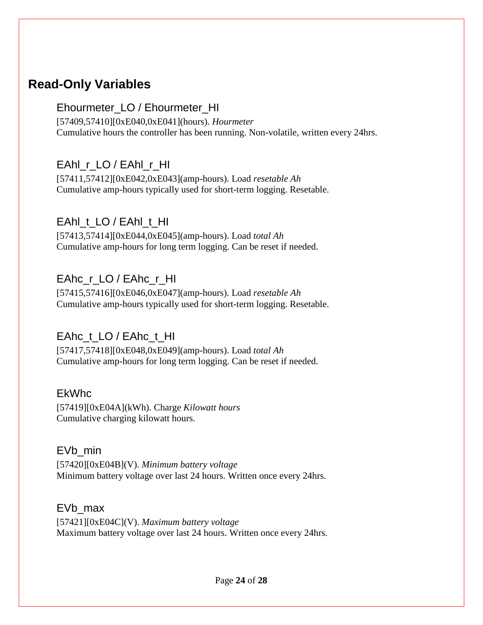### **Read-Only Variables**

#### Ehourmeter\_LO / Ehourmeter\_HI

[57409,57410][0xE040,0xE041](hours). *Hourmeter* Cumulative hours the controller has been running. Non-volatile, written every 24hrs.

### EAhl\_r\_LO / EAhl\_r\_HI

[57411,57412][0xE042,0xE043](amp-hours). Load *resetable Ah* Cumulative amp-hours typically used for short-term logging. Resetable.

#### EAhl\_t\_LO / EAhl\_t\_HI

[57413,57414][0xE044,0xE045](amp-hours). Load *total Ah* Cumulative amp-hours for long term logging. Can be reset if needed.

#### EAhc\_r\_LO / EAhc\_r\_HI

[57415,57416][0xE046,0xE047](amp-hours). Load *resetable Ah* Cumulative amp-hours typically used for short-term logging. Resetable.

### EAhc\_t\_LO / EAhc\_t\_HI

[57417,57418][0xE048,0xE049](amp-hours). Load *total Ah* Cumulative amp-hours for long term logging. Can be reset if needed.

#### EkWhc

[57419][0xE04A](kWh). Charge *Kilowatt hours* Cumulative charging kilowatt hours.

#### EVb\_min

[57420][0xE04B](V). *Minimum battery voltage* Minimum battery voltage over last 24 hours. Written once every 24hrs.

#### EVb\_max

[57421][0xE04C](V). *Maximum battery voltage* Maximum battery voltage over last 24 hours. Written once every 24hrs.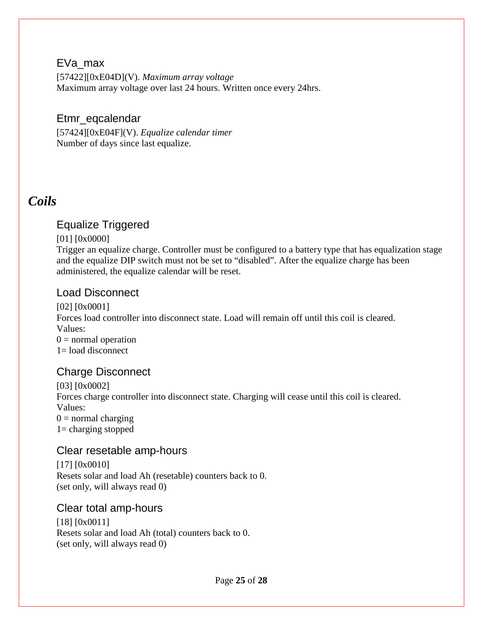#### EVa\_max

[57422][0xE04D](V). *Maximum array voltage* Maximum array voltage over last 24 hours. Written once every 24hrs.

#### Etmr\_eqcalendar

[57424][0xE04F](V). *Equalize calendar timer* Number of days since last equalize.

### <span id="page-24-0"></span>*Coils*

#### Equalize Triggered

#### [01] [0x0000]

Trigger an equalize charge. Controller must be configured to a battery type that has equalization stage and the equalize DIP switch must not be set to "disabled". After the equalize charge has been administered, the equalize calendar will be reset.

#### Load Disconnect

[02] [0x0001] Forces load controller into disconnect state. Load will remain off until this coil is cleared. Values:  $0 =$  normal operation  $1=$  load disconnect

#### Charge Disconnect

[03] [0x0002] Forces charge controller into disconnect state. Charging will cease until this coil is cleared. Values:  $0 =$  normal charging 1= charging stopped

#### Clear resetable amp-hours

[17] [0x0010] Resets solar and load Ah (resetable) counters back to 0. (set only, will always read 0)

#### Clear total amp-hours

[18] [0x0011] Resets solar and load Ah (total) counters back to 0. (set only, will always read 0)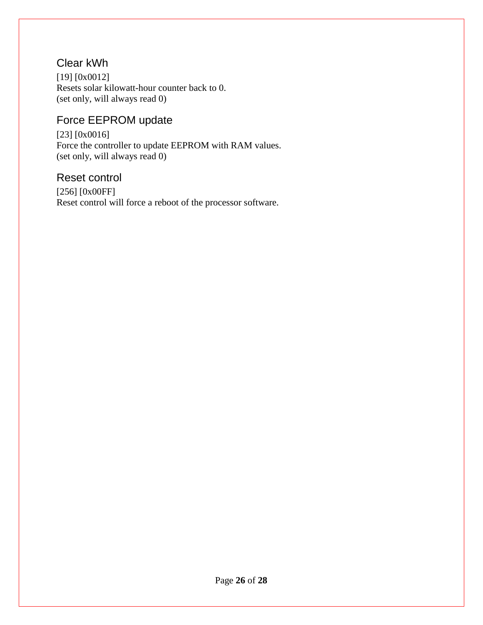### Clear kWh

[19] [0x0012] Resets solar kilowatt-hour counter back to 0. (set only, will always read 0)

### Force EEPROM update

[23] [0x0016] Force the controller to update EEPROM with RAM values. (set only, will always read 0)

#### Reset control

[256] [0x00FF] Reset control will force a reboot of the processor software.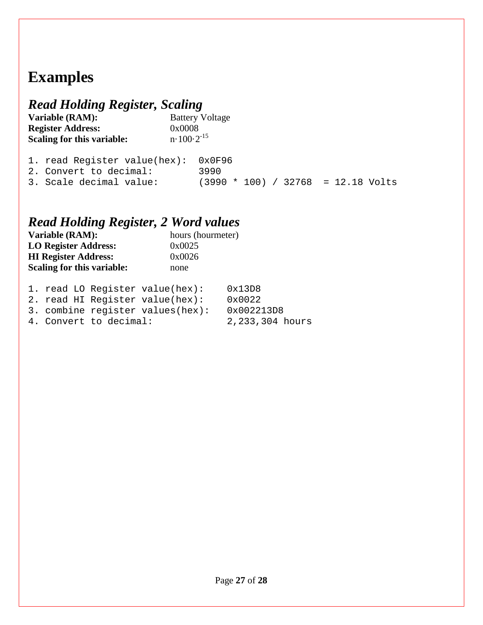# <span id="page-26-0"></span>**Examples**

# <span id="page-26-1"></span>*Read Holding Register, Scaling*

**Variable (RAM):** Battery Voltage **Register Address:** 0x0008 **Scaling for this variable:**  $n \cdot 100 \cdot 2^{-15}$ 

| 1. read Register value(hex): $0x0F96$ |                                      |
|---------------------------------------|--------------------------------------|
| 2. Convert to decimal:                | 3990                                 |
| 3. Scale decimal value:               | $(3990 * 100) / 32768 = 12.18$ Volts |

### <span id="page-26-2"></span>*Read Holding Register, 2 Word values*

| Variable (RAM):             | hours (hourmeter) |
|-----------------------------|-------------------|
| <b>LO Register Address:</b> | 0x0025            |
| <b>HI Register Address:</b> | 0x0026            |
| Scaling for this variable:  | none              |
|                             |                   |

|  | 1. read LO Register value(hex):      | 0x13D8          |
|--|--------------------------------------|-----------------|
|  | 2. read HI Register value(hex):      | $0 \times 0022$ |
|  | 3. combine reqister values( $hex$ ): | 0x002213D8      |
|  | 4. Convert to decimal:               | 2,233,304 hours |